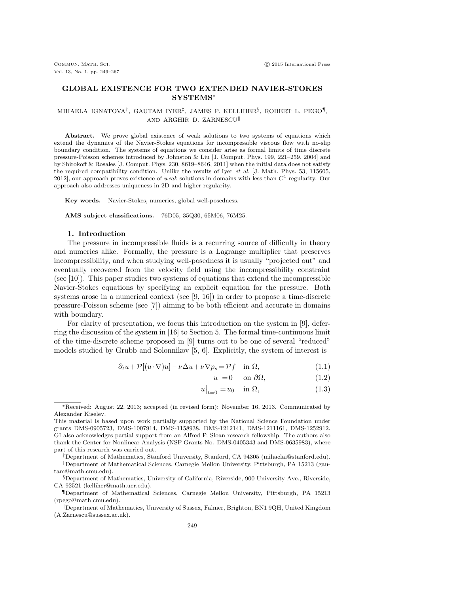# GLOBAL EXISTENCE FOR TWO EXTENDED NAVIER-STOKES SYSTEMS<sup>∗</sup>

# MIHAELA IGNATOVA<sup>†</sup>, GAUTAM IYER<sup>‡</sup>, JAMES P. KELLIHER§, ROBERT L. PEGO¶, AND ARGHIR D. ZARNESCU<sup>II</sup>

Abstract. We prove global existence of weak solutions to two systems of equations which extend the dynamics of the Navier-Stokes equations for incompressible viscous flow with no-slip boundary condition. The systems of equations we consider arise as formal limits of time discrete pressure-Poisson schemes introduced by Johnston & Liu [J. Comput. Phys. 199, 221–259, 2004] and by Shirokoff & Rosales [J. Comput. Phys. 230, 8619–8646, 2011] when the initial data does not satisfy the required compatibility condition. Unlike the results of Iyer et al. [J. Math. Phys. 53, 115605, 2012], our approach proves existence of weak solutions in domains with less than  $C<sup>1</sup>$  regularity. Our approach also addresses uniqueness in 2D and higher regularity.

Key words. Navier-Stokes, numerics, global well-posedness.

AMS subject classifications. 76D05, 35Q30, 65M06, 76M25.

#### 1. Introduction

The pressure in incompressible fluids is a recurring source of difficulty in theory and numerics alike. Formally, the pressure is a Lagrange multiplier that preserves incompressibility, and when studying well-posedness it is usually "projected out" and eventually recovered from the velocity field using the incompressibility constraint (see  $[10]$ ). This paper studies two systems of equations that extend the incompressible Navier-Stokes equations by specifying an explicit equation for the pressure. Both systems arose in a numerical context (see [9, 16]) in order to propose a time-discrete pressure-Poisson scheme (see [7]) aiming to be both efficient and accurate in domains with boundary.

For clarity of presentation, we focus this introduction on the system in [9], deferring the discussion of the system in [16] to Section 5. The formal time-continuous limit of the time-discrete scheme proposed in [9] turns out to be one of several "reduced" models studied by Grubb and Solonnikov [5, 6]. Explicitly, the system of interest is

$$
\partial_t u + \mathcal{P}[(u \cdot \nabla)u] - \nu \Delta u + \nu \nabla p_s = \mathcal{P}f \quad \text{in } \Omega,
$$
\n(1.1)

$$
u = 0 \quad \text{on } \partial\Omega,\tag{1.2}
$$

$$
u\big|_{t=0} = u_0 \quad \text{in } \Omega,\tag{1.3}
$$

†Department of Mathematics, Stanford University, Stanford, CA 94305 (mihaelai@stanford.edu).

<sup>∗</sup>Received: August 22, 2013; accepted (in revised form): November 16, 2013. Communicated by Alexander Kiselev.

This material is based upon work partially supported by the National Science Foundation under grants DMS-0905723, DMS-1007914, DMS-1158938, DMS-1212141, DMS-1211161, DMS-1252912. GI also acknowledges partial support from an Alfred P. Sloan research fellowship. The authors also thank the Center for Nonlinear Analysis (NSF Grants No. DMS-0405343 and DMS-0635983), where part of this research was carried out.

<sup>‡</sup>Department of Mathematical Sciences, Carnegie Mellon University, Pittsburgh, PA 15213 (gautam@math.cmu.edu).

<sup>§</sup>Department of Mathematics, University of California, Riverside, 900 University Ave., Riverside, CA 92521 (kelliher@math.ucr.edu).

<sup>¶</sup>Department of Mathematical Sciences, Carnegie Mellon University, Pittsburgh, PA 15213 (rpego@math.cmu.edu).

<sup>k</sup>Department of Mathematics, University of Sussex, Falmer, Brighton, BN1 9QH, United Kingdom (A.Zarnescu@sussex.ac.uk).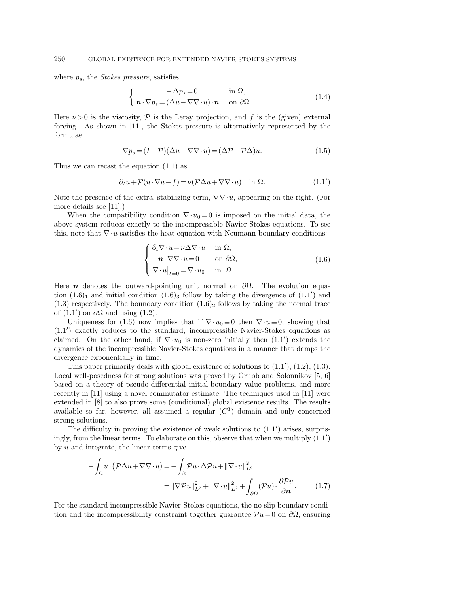where  $p_s$ , the *Stokes pressure*, satisfies

$$
\begin{cases}\n-\Delta p_s = 0 & \text{in } \Omega, \\
\mathbf{n} \cdot \nabla p_s = (\Delta u - \nabla \nabla \cdot u) \cdot \mathbf{n} & \text{on } \partial \Omega.\n\end{cases}
$$
\n(1.4)

Here  $\nu > 0$  is the viscosity,  $\mathcal P$  is the Leray projection, and f is the (given) external forcing. As shown in [11], the Stokes pressure is alternatively represented by the formulae

$$
\nabla p_s = (I - \mathcal{P})(\Delta u - \nabla \nabla \cdot u) = (\Delta \mathcal{P} - \mathcal{P}\Delta)u.
$$
\n(1.5)

Thus we can recast the equation (1.1) as

$$
\partial_t u + \mathcal{P}(u \cdot \nabla u - f) = \nu(\mathcal{P}\Delta u + \nabla \nabla \cdot u) \quad \text{in } \Omega. \tag{1.1'}
$$

Note the presence of the extra, stabilizing term,  $\nabla \nabla \cdot u$ , appearing on the right. (For more details see [11].)

When the compatibility condition  $\nabla \cdot u_0 = 0$  is imposed on the initial data, the above system reduces exactly to the incompressible Navier-Stokes equations. To see this, note that  $\nabla \cdot u$  satisfies the heat equation with Neumann boundary conditions:

$$
\begin{cases} \partial_t \nabla \cdot u = \nu \Delta \nabla \cdot u & \text{in } \Omega, \\ \mathbf{n} \cdot \nabla \nabla \cdot u = 0 & \text{on } \partial \Omega, \\ \nabla \cdot u \big|_{t=0} = \nabla \cdot u_0 & \text{in } \Omega. \end{cases}
$$
(1.6)

Here n denotes the outward-pointing unit normal on  $\partial\Omega$ . The evolution equation  $(1.6)<sub>1</sub>$  and initial condition  $(1.6)<sub>3</sub>$  follow by taking the divergence of  $(1.1')$  and  $(1.3)$  respectively. The boundary condition  $(1.6)_2$  follows by taking the normal trace of  $(1.1')$  on  $\partial\Omega$  and using  $(1.2)$ .

Uniqueness for (1.6) now implies that if  $\nabla \cdot u_0 \equiv 0$  then  $\nabla \cdot u \equiv 0$ , showing that (1.1′ ) exactly reduces to the standard, incompressible Navier-Stokes equations as claimed. On the other hand, if  $\nabla \cdot u_0$  is non-zero initially then  $(1.1')$  extends the dynamics of the incompressible Navier-Stokes equations in a manner that damps the divergence exponentially in time.

This paper primarily deals with global existence of solutions to  $(1.1')$ ,  $(1.2)$ ,  $(1.3)$ . Local well-posedness for strong solutions was proved by Grubb and Solonnikov [5, 6] based on a theory of pseudo-differential initial-boundary value problems, and more recently in [11] using a novel commutator estimate. The techniques used in [11] were extended in [8] to also prove some (conditional) global existence results. The results available so far, however, all assumed a regular  $(C<sup>3</sup>)$  domain and only concerned strong solutions.

The difficulty in proving the existence of weak solutions to (1.1′ ) arises, surprisingly, from the linear terms. To elaborate on this, observe that when we multiply (1.1′ ) by u and integrate, the linear terms give

$$
-\int_{\Omega} u \cdot (\mathcal{P}\Delta u + \nabla \nabla \cdot u) = -\int_{\Omega} \mathcal{P}u \cdot \Delta \mathcal{P}u + ||\nabla \cdot u||_{L^{2}}^{2}
$$

$$
= ||\nabla \mathcal{P}u||_{L^{2}}^{2} + ||\nabla \cdot u||_{L^{2}}^{2} + \int_{\partial \Omega} (\mathcal{P}u) \cdot \frac{\partial \mathcal{P}u}{\partial n}.
$$
(1.7)

For the standard incompressible Navier-Stokes equations, the no-slip boundary condition and the incompressibility constraint together guarantee  $\mathcal{P}u=0$  on  $\partial\Omega$ , ensuring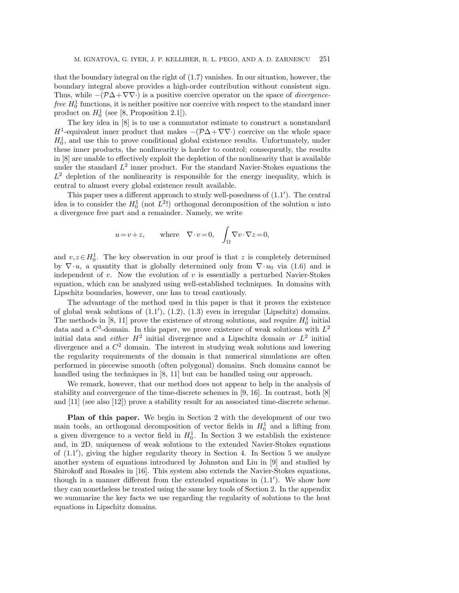that the boundary integral on the right of (1.7) vanishes. In our situation, however, the boundary integral above provides a high-order contribution without consistent sign. Thus, while  $-(\mathcal{P}\Delta+\nabla\nabla\cdot)$  is a positive coercive operator on the space of *divergencefree*  $H_0^1$  functions, it is neither positive nor coercive with respect to the standard inner product on  $H_0^1$  (see [8, Proposition 2.1]).

The key idea in [8] is to use a commutator estimate to construct a nonstandard  $H^1$ -equivalent inner product that makes  $-(\mathcal{P}\Delta+\nabla\nabla\cdot)$  coercive on the whole space  $H_0^1$ , and use this to prove conditional global existence results. Unfortunately, under these inner products, the nonlinearity is harder to control; consequently, the results in [8] are unable to effectively exploit the depletion of the nonlinearity that is available under the standard  $L^2$  inner product. For the standard Navier-Stokes equations the  $L^2$  depletion of the nonlinearity is responsible for the energy inequality, which is central to almost every global existence result available.

This paper uses a different approach to study well-posedness of (1.1′ ). The central idea is to consider the  $H_0^1$  (not  $L^2$ !) orthogonal decomposition of the solution u into a divergence free part and a remainder. Namely, we write

$$
u = v + z
$$
, where  $\nabla \cdot v = 0$ ,  $\int_{\Omega} \nabla v \cdot \nabla z = 0$ ,

and  $v, z \in H_0^1$ . The key observation in our proof is that z is completely determined by  $\nabla \cdot u$ , a quantity that is globally determined only from  $\nabla \cdot u_0$  via (1.6) and is independent of  $v$ . Now the evolution of  $v$  is essentially a perturbed Navier-Stokes equation, which can be analyzed using well-established techniques. In domains with Lipschitz boundaries, however, one has to tread cautiously.

The advantage of the method used in this paper is that it proves the existence of global weak solutions of (1.1′ ), (1.2), (1.3) even in irregular (Lipschitz) domains. The methods in [8, 11] prove the existence of strong solutions, and require  $H_0^1$  initial data and a  $C^3$ -domain. In this paper, we prove existence of weak solutions with  $L^2$ initial data and *either*  $H^2$  initial divergence and a Lipschitz domain or  $L^2$  initial divergence and a  $C<sup>2</sup>$  domain. The interest in studying weak solutions and lowering the regularity requirements of the domain is that numerical simulations are often performed in piecewise smooth (often polygonal) domains. Such domains cannot be handled using the techniques in [8, 11] but can be handled using our approach.

We remark, however, that our method does not appear to help in the analysis of stability and convergence of the time-discrete schemes in [9, 16]. In contrast, both [8] and [11] (see also [12]) prove a stability result for an associated time-discrete scheme.

Plan of this paper. We begin in Section 2 with the development of our two main tools, an orthogonal decomposition of vector fields in  $H_0^1$  and a lifting from a given divergence to a vector field in  $H_0^1$ . In Section 3 we establish the existence and, in 2D, uniqueness of weak solutions to the extended Navier-Stokes equations of (1.1′ ), giving the higher regularity theory in Section 4. In Section 5 we analyze another system of equations introduced by Johnston and Liu in [9] and studied by Shirokoff and Rosales in [16]. This system also extends the Navier-Stokes equations, though in a manner different from the extended equations in (1.1′ ). We show how they can nonetheless be treated using the same key tools of Section 2. In the appendix we summarize the key facts we use regarding the regularity of solutions to the heat equations in Lipschitz domains.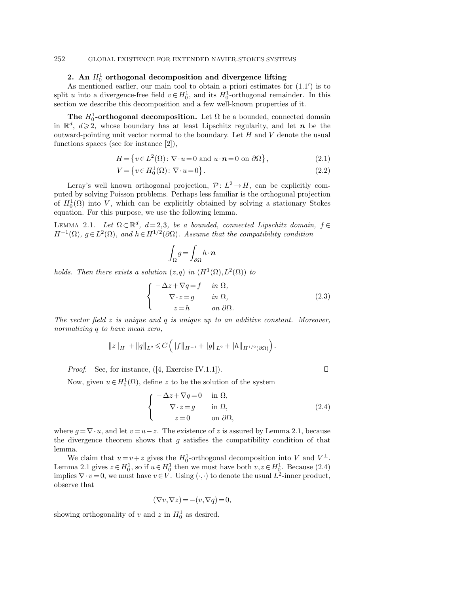### 252 GLOBAL EXISTENCE FOR EXTENDED NAVIER-STOKES SYSTEMS

# 2. An  $H_0^1$  orthogonal decomposition and divergence lifting

As mentioned earlier, our main tool to obtain a priori estimates for  $(1.1')$  is to split u into a divergence-free field  $v \in H_0^1$ , and its  $H_0^1$ -orthogonal remainder. In this section we describe this decomposition and a few well-known properties of it.

The  $H_0^1$ -orthogonal decomposition. Let  $\Omega$  be a bounded, connected domain in  $\mathbb{R}^d$ ,  $d \ge 2$ , whose boundary has at least Lipschitz regularity, and let n be the outward-pointing unit vector normal to the boundary. Let  $H$  and  $V$  denote the usual functions spaces (see for instance [2]),

$$
H = \{ v \in L^{2}(\Omega) : \nabla \cdot u = 0 \text{ and } u \cdot \boldsymbol{n} = 0 \text{ on } \partial \Omega \},
$$
\n(2.1)

$$
V = \{ v \in H_0^1(\Omega) : \nabla \cdot u = 0 \}.
$$
\n(2.2)

Leray's well known orthogonal projection,  $\mathcal{P}: L^2 \to H$ , can be explicitly computed by solving Poisson problems. Perhaps less familiar is the orthogonal projection of  $H_0^1(\Omega)$  into V, which can be explicitly obtained by solving a stationary Stokes equation. For this purpose, we use the following lemma.

LEMMA 2.1. Let  $\Omega \subset \mathbb{R}^d$ ,  $d=2,3$ , be a bounded, connected Lipschitz domain,  $f \in$  $H^{-1}(\Omega)$ ,  $g \in L^2(\Omega)$ , and  $h \in H^{1/2}(\partial \Omega)$ . Assume that the compatibility condition

$$
\int_{\Omega} g = \int_{\partial \Omega} h \cdot \mathbf{n}
$$

holds. Then there exists a solution  $(z,q)$  in  $(H<sup>1</sup>(\Omega), L<sup>2</sup>(\Omega))$  to

$$
\begin{cases}\n-\Delta z + \nabla q = f & \text{in } \Omega, \\
\nabla \cdot z = g & \text{in } \Omega, \\
z = h & \text{on } \partial \Omega.\n\end{cases}
$$
\n(2.3)

The vector field  $z$  is unique and  $q$  is unique up to an additive constant. Moreover, normalizing q to have mean zero,

$$
\left\| z \right\|_{H^1} + \left\| q \right\|_{L^2} \leqslant C \left( \left\| f \right\|_{H^{-1}} + \left\| g \right\|_{L^2} + \left\| h \right\|_{H^{1/2}(\partial \Omega)} \right).
$$

Proof. See, for instance,  $([4, Exercise IV.1.1]).$ 

Now, given  $u \in H_0^1(\Omega)$ , define z to be the solution of the system

$$
\begin{cases}\n-\Delta z + \nabla q = 0 & \text{in } \Omega, \\
\nabla \cdot z = g & \text{in } \Omega, \\
z = 0 & \text{on } \partial \Omega,\n\end{cases}
$$
\n(2.4)

 $\Box$ 

where  $g = \nabla \cdot u$ , and let  $v = u - z$ . The existence of z is assured by Lemma 2.1, because the divergence theorem shows that  $g$  satisfies the compatibility condition of that lemma.

We claim that  $u = v + z$  gives the  $H_0^1$ -orthogonal decomposition into V and  $V^{\perp}$ . Lemma 2.1 gives  $z \in H_0^1$ , so if  $u \in H_0^1$  then we must have both  $v, z \in H_0^1$ . Because (2.4) implies  $\nabla \cdot v = 0$ , we must have  $v \in V$ . Using  $(\cdot, \cdot)$  to denote the usual  $L^2$ -inner product, observe that

$$
(\nabla v, \nabla z) = -(v, \nabla q) = 0,
$$

showing orthogonality of v and z in  $H_0^1$  as desired.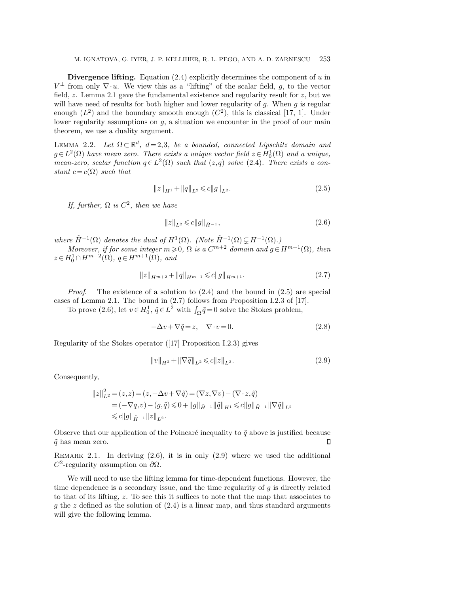**Divergence lifting.** Equation  $(2.4)$  explicitly determines the component of  $u$  in  $V^{\perp}$  from only  $\nabla \cdot u$ . We view this as a "lifting" of the scalar field, g, to the vector field,  $z$ . Lemma 2.1 gave the fundamental existence and regularity result for  $z$ , but we will have need of results for both higher and lower regularity of  $q$ . When  $q$  is regular enough  $(L^2)$  and the boundary smooth enough  $(C^2)$ , this is classical [17, 1]. Under lower regularity assumptions on  $g$ , a situation we encounter in the proof of our main theorem, we use a duality argument.

LEMMA 2.2. Let  $\Omega \subset \mathbb{R}^d$ ,  $d=2,3$ , be a bounded, connected Lipschitz domain and  $g \in L^2(\Omega)$  have mean zero. There exists a unique vector field  $z \in H_0^1(\Omega)$  and a unique, mean-zero, scalar function  $q \in L^2(\Omega)$  such that  $(z,q)$  solve  $(2.4)$ . There exists a constant  $c = c(\Omega)$  such that

$$
||z||_{H^1} + ||q||_{L^2} \leq c||g||_{L^2}.
$$
\n(2.5)

If, further,  $\Omega$  is  $C^2$ , then we have

$$
||z||_{L^2} \leq c||g||_{\tilde{H}^{-1}},
$$
\n(2.6)

where  $\tilde{H}^{-1}(\Omega)$  denotes the dual of  $H^1(\Omega)$ . (Note  $\tilde{H}^{-1}(\Omega) \subsetneq H^{-1}(\Omega)$ .)

Moreover, if for some integer  $m \geqslant 0$ ,  $\Omega$  is a  $C^{m+2}$  domain and  $g \in H^{m+1}(\Omega)$ , then  $z \in H_0^1 \cap H^{m+2}(\Omega)$ ,  $q \in H^{m+1}(\Omega)$ , and

$$
||z||_{H^{m+2}} + ||q||_{H^{m+1}} \leq c||g||_{H^{m+1}}.\tag{2.7}
$$

*Proof.* The existence of a solution to  $(2.4)$  and the bound in  $(2.5)$  are special cases of Lemma 2.1. The bound in (2.7) follows from Proposition I.2.3 of [17].

To prove (2.6), let  $v \in H_0^1$ ,  $\tilde{q} \in L^2$  with  $\int_{\Omega} \tilde{q} = 0$  solve the Stokes problem,

$$
-\Delta v + \nabla \tilde{q} = z, \quad \nabla \cdot v = 0.
$$
\n(2.8)

Regularity of the Stokes operator ([17] Proposition I.2.3) gives

$$
||v||_{H^2} + ||\nabla \tilde{q}||_{L^2} \leq c||z||_{L^2}.
$$
\n(2.9)

Consequently,

$$
||z||_{L^{2}}^{2} = (z, z) = (z, -\Delta v + \nabla \tilde{q}) = (\nabla z, \nabla v) - (\nabla \cdot z, \tilde{q})
$$
  
=  $(-\nabla q, v) - (g, \tilde{q}) \leq 0 + ||g||_{\tilde{H}^{-1}} ||\tilde{q}||_{H^{1}} \leq c||g||_{\tilde{H}^{-1}} ||\nabla \tilde{q}||_{L^{2}}$   
 $\leq c||g||_{\tilde{H}^{-1}} ||z||_{L^{2}}.$ 

Observe that our application of the Poincaré inequality to  $\tilde{q}$  above is justified because  $\tilde{q}$  has mean zero. П

REMARK 2.1. In deriving  $(2.6)$ , it is in only  $(2.9)$  where we used the additional  $C^2$ -regularity assumption on  $\partial\Omega$ .

We will need to use the lifting lemma for time-dependent functions. However, the time dependence is a secondary issue, and the time regularity of g is directly related to that of its lifting, z. To see this it suffices to note that the map that associates to g the z defined as the solution of  $(2.4)$  is a linear map, and thus standard arguments will give the following lemma.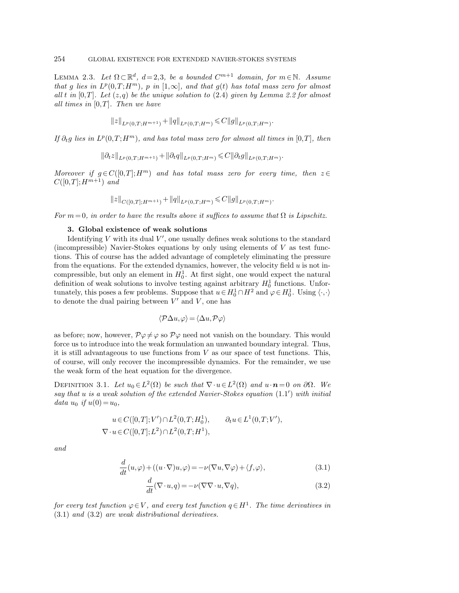LEMMA 2.3. Let  $\Omega \subset \mathbb{R}^d$ ,  $d=2,3$ , be a bounded  $C^{m+1}$  domain, for  $m \in \mathbb{N}$ . Assume that g lies in  $L^p(0,T;H^m)$ , p in  $[1,\infty]$ , and that  $g(t)$  has total mass zero for almost all t in  $[0,T]$ . Let  $(z,q)$  be the unique solution to  $(2.4)$  given by Lemma 2.2 for almost all times in  $[0,T]$ . Then we have

$$
||z||_{L^p(0,T;H^{m+1})} + ||q||_{L^p(0,T;H^m)} \leq C||g||_{L^p(0,T;H^m)}
$$

.

If  $\partial_t g$  lies in  $L^p(0,T;H^m)$ , and has total mass zero for almost all times in  $[0,T]$ , then

$$
\|\partial_t z\|_{L^p(0,T;H^{m+1})} + \|\partial_t q\|_{L^p(0,T;H^m)} \leq C \|\partial_t g\|_{L^p(0,T;H^m)}.
$$

Moreover if  $g \in C([0,T]; H^m)$  and has total mass zero for every time, then  $z \in$  $C([0,T];H^{m+1})$  and

$$
||z||_{C([0,T];H^{m+1})} + ||q||_{L^p(0,T;H^m)} \leq C||g||_{L^p(0,T;H^m)}.
$$

For  $m=0$ , in order to have the results above it suffices to assume that  $\Omega$  is Lipschitz.

## 3. Global existence of weak solutions

Identifying  $V$  with its dual  $V'$ , one usually defines weak solutions to the standard (incompressible) Navier-Stokes equations by only using elements of  $V$  as test functions. This of course has the added advantage of completely eliminating the pressure from the equations. For the extended dynamics, however, the velocity field  $u$  is not incompressible, but only an element in  $H_0^1$ . At first sight, one would expect the natural definition of weak solutions to involve testing against arbitrary  $H_0^1$  functions. Unfortunately, this poses a few problems. Suppose that  $u \in H_0^1 \cap H^2$  and  $\varphi \in H_0^1$ . Using  $\langle \cdot, \cdot \rangle$ to denote the dual pairing between  $V'$  and  $V$ , one has

$$
\langle \mathcal{P}\Delta u,\varphi\rangle = \langle \Delta u,\mathcal{P}\varphi\rangle
$$

as before; now, however,  $\mathcal{P}\varphi \neq \varphi$  so  $\mathcal{P}\varphi$  need not vanish on the boundary. This would force us to introduce into the weak formulation an unwanted boundary integral. Thus, it is still advantageous to use functions from  $V$  as our space of test functions. This, of course, will only recover the incompressible dynamics. For the remainder, we use the weak form of the heat equation for the divergence.

DEFINITION 3.1. Let  $u_0 \in L^2(\Omega)$  be such that  $\nabla \cdot u \in L^2(\Omega)$  and  $u \cdot \boldsymbol{n} = 0$  on  $\partial \Omega$ . We say that u is a weak solution of the extended Navier-Stokes equation (1.1′ ) with initial data  $u_0$  if  $u(0) = u_0$ ,

$$
u \in C([0,T]; V') \cap L^2(0,T; H_0^1), \qquad \partial_t u \in L^1(0,T; V'),
$$
  

$$
\nabla \cdot u \in C([0,T]; L^2) \cap L^2(0,T; H^1),
$$

and

$$
\frac{d}{dt}(u,\varphi) + ((u \cdot \nabla)u, \varphi) = -\nu(\nabla u, \nabla \varphi) + \langle f, \varphi \rangle,
$$
\n(3.1)

$$
\frac{d}{dt}(\nabla \cdot u, q) = -\nu(\nabla \nabla \cdot u, \nabla q),\tag{3.2}
$$

for every test function  $\varphi \in V$ , and every test function  $q \in H^1$ . The time derivatives in (3.1) and (3.2) are weak distributional derivatives.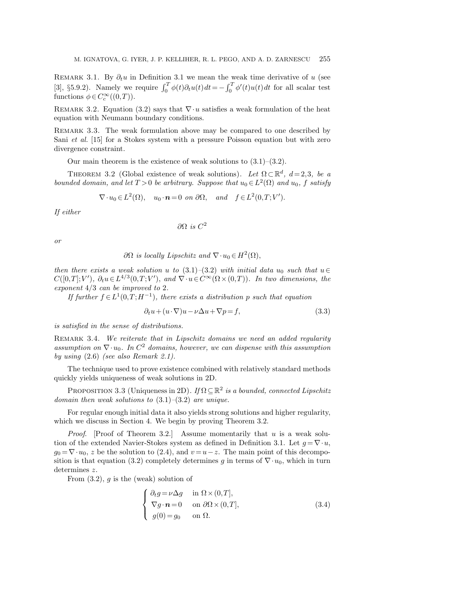REMARK 3.1. By  $\partial_t u$  in Definition 3.1 we mean the weak time derivative of u (see [3], §5.9.2). Namely we require  $\int_0^T \phi(t) \partial_t u(t) dt = -\int_0^T \phi'(t) u(t) dt$  for all scalar test functions  $\phi \in C_c^{\infty}((0,T)).$ 

REMARK 3.2. Equation (3.2) says that  $\nabla u$  satisfies a weak formulation of the heat equation with Neumann boundary conditions.

REMARK 3.3. The weak formulation above may be compared to one described by Sani et al. [15] for a Stokes system with a pressure Poisson equation but with zero divergence constraint.

Our main theorem is the existence of weak solutions to  $(3.1)$ – $(3.2)$ .

THEOREM 3.2 (Global existence of weak solutions). Let  $\Omega \subset \mathbb{R}^d$ ,  $d=2,3$ , be a bounded domain, and let  $T > 0$  be arbitrary. Suppose that  $u_0 \in L^2(\Omega)$  and  $u_0$ , f satisfy

$$
\nabla \cdot u_0 \in L^2(\Omega)
$$
,  $u_0 \cdot \mathbf{n} = 0$  on  $\partial \Omega$ , and  $f \in L^2(0,T;V')$ .

If either

$$
\partial \Omega \ \ is \ C^2
$$

or

$$
\partial\Omega
$$
 is locally Lipschitz and  $\nabla \cdot u_0 \in H^2(\Omega)$ ,

then there exists a weak solution u to (3.1)–(3.2) with initial data  $u_0$  such that  $u \in$  $C([0,T];V'), \partial_t u \in L^{4/3}(0,T;V'), \text{ and } \nabla \cdot u \in C^{\infty}(\Omega \times (0,T)).$  In two dimensions, the exponent 4/3 can be improved to 2.

If further  $f \in L^1(0,T;H^{-1})$ , there exists a distribution p such that equation

$$
\partial_t u + (u \cdot \nabla)u - \nu \Delta u + \nabla p = f,\tag{3.3}
$$

is satisfied in the sense of distributions.

REMARK 3.4. We reiterate that in Lipschitz domains we need an added regularity assumption on  $\nabla \cdot u_0$ . In  $C^2$  domains, however, we can dispense with this assumption by using  $(2.6)$  (see also Remark 2.1).

The technique used to prove existence combined with relatively standard methods quickly yields uniqueness of weak solutions in 2D.

PROPOSITION 3.3 (Uniqueness in 2D). If  $\Omega \subseteq \mathbb{R}^2$  is a bounded, connected Lipschitz domain then weak solutions to  $(3.1)$ – $(3.2)$  are unique.

For regular enough initial data it also yields strong solutions and higher regularity, which we discuss in Section 4. We begin by proving Theorem 3.2.

*Proof.* [Proof of Theorem 3.2.] Assume momentarily that u is a weak solution of the extended Navier-Stokes system as defined in Definition 3.1. Let  $g = \nabla \cdot u$ ,  $g_0 = \nabla \cdot u_0$ , z be the solution to (2.4), and  $v = u - z$ . The main point of this decomposition is that equation (3.2) completely determines g in terms of  $\nabla \cdot u_0$ , which in turn determines z.

From  $(3.2)$ , g is the (weak) solution of

$$
\begin{cases}\n\partial_t g = \nu \Delta g & \text{in } \Omega \times (0, T], \\
\nabla g \cdot \mathbf{n} = 0 & \text{on } \partial \Omega \times (0, T], \\
g(0) = g_0 & \text{on } \Omega.\n\end{cases}
$$
\n(3.4)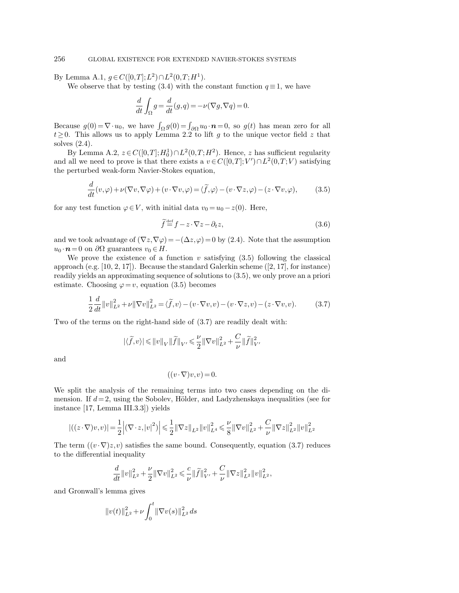By Lemma A.1,  $g \in C([0,T];L^2) \cap L^2(0,T;H^1)$ .

We observe that by testing (3.4) with the constant function  $q \equiv 1$ , we have

$$
\frac{d}{dt}\int_{\Omega}g\!=\!\frac{d}{dt}(g,q)\!=\!-\nu(\nabla g,\nabla q)\!=\!0.
$$

Because  $g(0) = \nabla \cdot u_0$ , we have  $\int_{\Omega} g(0) = \int_{\partial \Omega} u_0 \cdot \mathbf{n} = 0$ , so  $g(t)$  has mean zero for all  $t\geq0$ . This allows us to apply Lemma 2.2 to lift g to the unique vector field z that solves (2.4).

By Lemma A.2,  $z \in C([0,T];H_0^1) \cap L^2(0,T;H^2)$ . Hence, z has sufficient regularity and all we need to prove is that there exists a  $v \in C([0,T]; V') \cap L^2(0,T;V)$  satisfying the perturbed weak-form Navier-Stokes equation,

$$
\frac{d}{dt}(v,\varphi) + \nu(\nabla v, \nabla \varphi) + (v \cdot \nabla v, \varphi) = \langle \widetilde{f}, \varphi \rangle - (v \cdot \nabla z, \varphi) - (z \cdot \nabla v, \varphi),\tag{3.5}
$$

for any test function  $\varphi \in V$ , with initial data  $v_0 = u_0 - z(0)$ . Here,

$$
\widetilde{f}^{\text{def}} = f - z \cdot \nabla z - \partial_t z,\tag{3.6}
$$

and we took advantage of  $(\nabla z, \nabla \varphi) = -(\Delta z, \varphi) = 0$  by (2.4). Note that the assumption  $u_0 \cdot \mathbf{n} = 0$  on  $\partial \Omega$  guarantees  $v_0 \in H$ .

We prove the existence of a function  $v$  satisfying (3.5) following the classical approach (e.g.  $[10, 2, 17]$ ). Because the standard Galerkin scheme  $(2, 17]$ , for instance) readily yields an approximating sequence of solutions to (3.5), we only prove an a priori estimate. Choosing  $\varphi = v$ , equation (3.5) becomes

$$
\frac{1}{2}\frac{d}{dt}\|v\|_{L^2}^2 + \nu \|\nabla v\|_{L^2}^2 = \langle \widetilde{f}, v \rangle - (v \cdot \nabla v, v) - (v \cdot \nabla z, v) - (z \cdot \nabla v, v). \tag{3.7}
$$

Two of the terms on the right-hand side of (3.7) are readily dealt with:

$$
|\langle \widetilde{f}, v \rangle| \leqslant \|v\|_V \|\widetilde{f}\|_{V'} \leqslant \frac{\nu}{2} \|\nabla v\|_{L^2}^2 + \frac{C}{\nu} \|\widetilde{f}\|_{V'}^2
$$

and

$$
((v \cdot \nabla)v, v) = 0.
$$

We split the analysis of the remaining terms into two cases depending on the dimension. If  $d=2$ , using the Sobolev, Hölder, and Ladyzhenskaya inequalities (see for instance [17, Lemma III.3.3]) yields

$$
\left| \left( (z \cdot \nabla) v, v \right) \right| = \frac{1}{2} \left| \left( \nabla \cdot z, |v|^2 \right) \right| \leq \frac{1}{2} \left\| \nabla z \right\|_{L^2} \left\| v \right\|_{L^4}^2 \leq \frac{\nu}{8} \left\| \nabla v \right\|_{L^2}^2 + \frac{C}{\nu} \left\| \nabla z \right\|_{L^2}^2 \left\| v \right\|_{L^2}^2
$$

The term  $((v \cdot \nabla)z, v)$  satisfies the same bound. Consequently, equation (3.7) reduces to the differential inequality

$$
\frac{d}{dt}||v||_{L^{2}}^{2} + \frac{\nu}{2}||\nabla v||_{L^{2}}^{2} \leqslant \frac{c}{\nu}||\widetilde{f}||_{V'}^{2} + \frac{C}{\nu}||\nabla z||_{L^{2}}^{2}||v||_{L^{2}}^{2},
$$

and Gronwall's lemma gives

$$
||v(t)||_{L^2}^2 + \nu \int_0^t ||\nabla v(s)||_{L^2}^2 ds
$$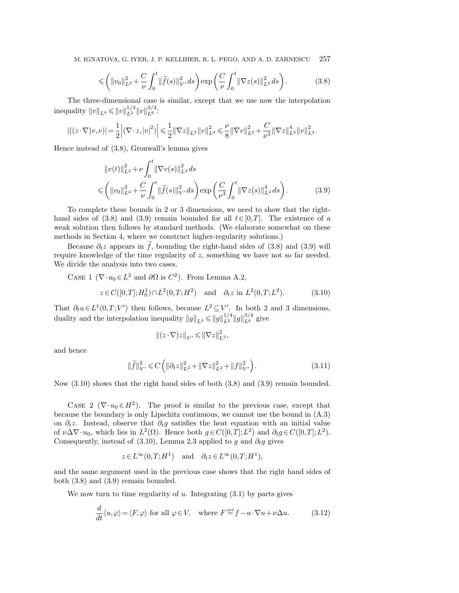M. IGNATOVA, G. IYER, J. P. KELLIHER, R. L. PEGO, AND A. D. ZARNESCU 257

$$
\leq \left( \|v_0\|_{L^2}^2 + \frac{C}{\nu} \int_0^t \|\widetilde{f}(s)\|_{V'}^2 ds \right) \exp\left(\frac{C}{\nu} \int_0^t \|\nabla z(s)\|_{L^2}^2 ds\right). \tag{3.8}
$$

The three-dimensional case is similar, except that we use now the interpolation inequality  $||v||_{L^4} \le ||v||_{L^2}^{1/4} ||v||_{L^6}^{3/4}$ :

$$
\left| \left( (z \cdot \nabla) v,v \right) \right| = \frac{1}{2} \left| \left( \nabla \cdot z,|v|^2 \right) \right| \leqslant \frac{1}{2} \left\| \nabla z \right\|_{L^2} \left\| v \right\|_{L^4}^2 \leqslant \frac{\nu}{8} \left\| \nabla v \right\|_{L^2}^2 + \frac{C}{\nu^3} \left\| \nabla z \right\|_{L^2}^4 \left\| v \right\|_{L^2}^2.
$$

Hence instead of (3.8), Gronwall's lemma gives

$$
\|v(t)\|_{L^{2}}^{2} + \nu \int_{0}^{t} \|\nabla v(s)\|_{L^{2}}^{2} ds
$$
  

$$
\leq \left(\|v_{0}\|_{L^{2}}^{2} + \frac{C}{\nu} \int_{0}^{t} \|\widetilde{f}(s)\|_{V'}^{2} ds\right) \exp\left(\frac{C}{\nu^{3}} \int_{0}^{t} \|\nabla z(s)\|_{L^{2}}^{4} ds\right).
$$
 (3.9)

To complete these bounds in 2 or 3 dimensions, we need to show that the righthand sides of (3.8) and (3.9) remain bounded for all  $t \in [0,T]$ . The existence of a weak solution then follows by standard methods. (We elaborate somewhat on these methods in Section 4, where we construct higher-regularity solutions.)

Because  $\partial_t z$  appears in f, bounding the right-hand sides of (3.8) and (3.9) will require knowledge of the time regularity of z, something we have not so far needed. We divide the analysis into two cases.

CASE 1 ( $\nabla \cdot u_0 \in L^2$  and  $\partial \Omega$  is  $C^2$ ). From Lemma A.2,

$$
z \in C([0,T];H_0^1) \cap L^2(0,T;H^2) \quad \text{and} \quad \partial_t z \text{ in } L^2(0,T;L^2). \tag{3.10}
$$

That  $\partial_t u \in L^1(0,T;V')$  then follows, because  $L^2 \subseteq V'$ . In both 2 and 3 dimensions, duality and the interpolation inequality  $||g||_{L^4} \le ||g||_{L^2}^{1/4} ||g||_{L^6}^{3/4}$  give

$$
\left\| (z \cdot \nabla) z \right\|_{V'} \leqslant \left\| \nabla z \right\|_{L^2}^2,
$$

and hence

$$
\|\tilde{f}\|_{V'}^2 \leq C \left( \|\partial_t z\|_{L^2}^2 + \|\nabla z\|_{L^2}^2 + \|f\|_{V'}^2 \right). \tag{3.11}
$$

Now  $(3.10)$  shows that the right hand sides of both  $(3.8)$  and  $(3.9)$  remain bounded.

CASE 2 ( $\nabla \cdot u_0 \in H^2$ ). The proof is similar to the previous case, except that because the boundary is only Lipschitz continuous, we cannot use the bound in (A.3) on  $\partial_t z$ . Instead, observe that  $\partial_t g$  satisfies the heat equation with an initial value of  $\nu \Delta \nabla \cdot u_0$ , which lies in  $L^2(\Omega)$ . Hence both  $g \in C([0,T]; L^2)$  and  $\partial_t g \in C([0,T]; L^2)$ . Consequently, instead of (3.10), Lemma 2.3 applied to g and  $\partial_t g$  gives

$$
z \in L^{\infty}(0,T;H^1)
$$
 and  $\partial_t z \in L^{\infty}(0,T;H^1)$ ,

and the same argument used in the previous case shows that the right hand sides of both (3.8) and (3.9) remain bounded.

We now turn to time regularity of  $u$ . Integrating  $(3.1)$  by parts gives

$$
\frac{d}{dt}\langle u,\varphi\rangle = \langle F,\varphi\rangle \text{ for all } \varphi \in V, \quad \text{where } F \stackrel{\text{def}}{=} f - u \cdot \nabla u + \nu \Delta u. \tag{3.12}
$$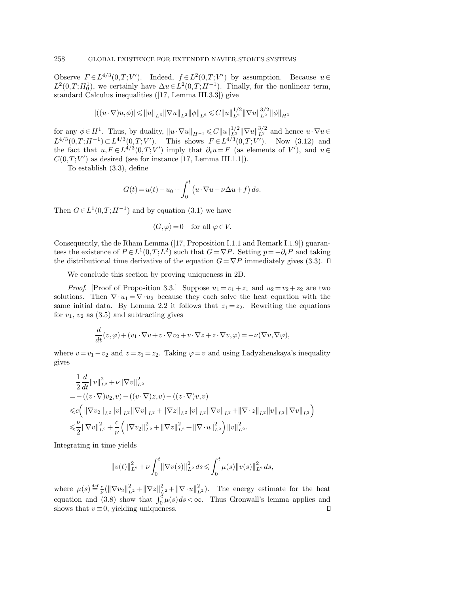Observe  $F \in L^{4/3}(0,T;V')$ . Indeed,  $f \in L^2(0,T;V')$  by assumption. Because  $u \in$  $L^2(0,T;H_0^1)$ , we certainly have  $\Delta u \in L^2(0,T;H^{-1})$ . Finally, for the nonlinear term, standard Calculus inequalities ([17, Lemma III.3.3]) give

$$
|((u\cdot\nabla)u,\phi)|\leqslant||u||_{L^{3}}||\nabla u||_{L^{2}}||\phi||_{L^{6}}\leqslant C||u||_{L^{2}}^{1/2}||\nabla u||_{L^{2}}^{3/2}||\phi||_{H^{1}}
$$

for any  $\phi \in H^1$ . Thus, by duality,  $\|u \cdot \nabla u\|_{H^{-1}} \leqslant C \|u\|_{L^2}^{1/2} \|\nabla u\|_{L^2}^{3/2}$  and hence  $u \cdot \nabla u \in$  $L^{4/3}(0,T;H^{-1}) \subset L^{4/3}(0,T;V')$ . This shows  $F \in L^{4/3}(0,T;V')$ . Now (3.12) and the fact that  $u, F \in L^{4/3}(0,T;V')$  imply that  $\partial_t u = F$  (as elements of V'), and  $u \in$  $C(0,T;V')$  as desired (see for instance [17, Lemma III.1.1]).

To establish (3.3), define

$$
G(t) = u(t) - u_0 + \int_0^t \left( u \cdot \nabla u - \nu \Delta u + f \right) ds.
$$

Then  $G \in L^1(0,T;H^{-1})$  and by equation (3.1) we have

$$
\langle G, \varphi \rangle = 0 \quad \text{for all } \varphi \in V.
$$

Consequently, the de Rham Lemma ([17, Proposition I.1.1 and Remark I.1.9]) guarantees the existence of  $P \in L^1(0,T;L^2)$  such that  $G = \nabla P$ . Setting  $p = -\partial_t P$  and taking the distributional time derivative of the equation  $G = \nabla P$  immediately gives (3.3).  $\Box$ 

We conclude this section by proving uniqueness in 2D.

*Proof.* [Proof of Proposition 3.3.] Suppose  $u_1 = v_1 + z_1$  and  $u_2 = v_2 + z_2$  are two solutions. Then  $\nabla \cdot u_1 = \nabla \cdot u_2$  because they each solve the heat equation with the same initial data. By Lemma 2.2 it follows that  $z_1 = z_2$ . Rewriting the equations for  $v_1$ ,  $v_2$  as  $(3.5)$  and subtracting gives

$$
\frac{d}{dt}(v,\varphi) + (v_1 \cdot \nabla v + v \cdot \nabla v_2 + v \cdot \nabla z + z \cdot \nabla v, \varphi) = -\nu(\nabla v, \nabla \varphi),
$$

where  $v = v_1 - v_2$  and  $z = z_1 = z_2$ . Taking  $\varphi = v$  and using Ladyzhenskaya's inequality gives

$$
\begin{split}\n&\frac{1}{2}\frac{d}{dt}\|v\|_{L^2}^2 + \nu \|\nabla v\|_{L^2}^2 \\
&= -((v \cdot \nabla)v_2, v) - ((v \cdot \nabla)z, v) - ((z \cdot \nabla)v, v) \\
&\leqslant c \left( \|\nabla v_2\|_{L^2} \|v\|_{L^2} \|\nabla v\|_{L^2} + \|\nabla z\|_{L^2} \|v\|_{L^2} \|\nabla v\|_{L^2} + \|\nabla \cdot z\|_{L^2} \|v\|_{L^2} \|\nabla v\|_{L^2} \right) \\
&\leqslant \frac{\nu}{2} \|\nabla v\|_{L^2}^2 + \frac{c}{\nu} \left( \|\nabla v_2\|_{L^2}^2 + \|\nabla z\|_{L^2}^2 + \|\nabla \cdot u\|_{L^2}^2 \right) \|v\|_{L^2}^2.\n\end{split}
$$

Integrating in time yields

$$
||v(t)||_{L^{2}}^{2} + \nu \int_{0}^{t} ||\nabla v(s)||_{L^{2}}^{2} ds \leq \int_{0}^{t} \mu(s)||v(s)||_{L^{2}}^{2} ds,
$$

where  $\mu(s) \stackrel{\text{def}}{=} \frac{c}{\nu} (\|\nabla v_2\|_{L^2}^2 + \|\nabla z\|_{L^2}^2 + \|\nabla \cdot u\|_{L^2}^2)$ . The energy estimate for the heat equation and (3.8) show that  $\int_0^t \mu(s) ds < \infty$ . Thus Gronwall's lemma applies and shows that  $v \equiv 0$ , yielding uniqueness.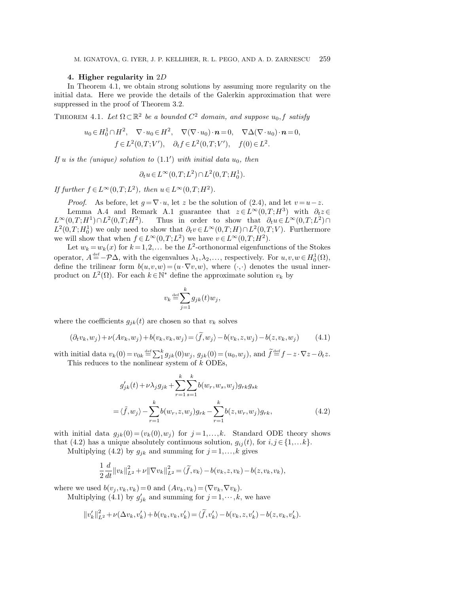#### 4. Higher regularity in 2D

In Theorem 4.1, we obtain strong solutions by assuming more regularity on the initial data. Here we provide the details of the Galerkin approximation that were suppressed in the proof of Theorem 3.2.

THEOREM 4.1. Let  $\Omega \subset \mathbb{R}^2$  be a bounded  $C^2$  domain, and suppose  $u_0, f$  satisfy

$$
u_0 \in H_0^1 \cap H^2, \quad \nabla \cdot u_0 \in H^2, \quad \nabla(\nabla \cdot u_0) \cdot \mathbf{n} = 0, \quad \nabla \Delta(\nabla \cdot u_0) \cdot \mathbf{n} = 0,
$$
  

$$
f \in L^2(0, T; V'), \quad \partial_t f \in L^2(0, T; V'), \quad f(0) \in L^2.
$$

If  $u$  is the (unique) solution to  $(1.1')$  with initial data  $u_0$ , then

$$
\partial_t u \in L^\infty(0,T;L^2) \cap L^2(0,T;H_0^1).
$$

If further  $f \in L^{\infty}(0,T;L^2)$ , then  $u \in L^{\infty}(0,T;H^2)$ .

*Proof.* As before, let  $q = \nabla \cdot u$ , let z be the solution of (2.4), and let  $v = u - z$ .

Lemma A.4 and Remark A.1 guarantee that  $z \in L^{\infty}(0,T;H^3)$  with  $\partial_t z \in$  $L^{\infty}(0,T;H^1) \cap L^2(0,T;H^2)$ . Thus in order to show that  $\partial_t u \in L^{\infty}(0,T;L^2) \cap$  $L^2(0,T;H_0^1)$  we only need to show that  $\partial_t v \in L^\infty(0,T;H) \cap L^2(0,T;V)$ . Furthermore we will show that when  $f \in L^{\infty}(0,T;L^2)$  we have  $v \in L^{\infty}(0,T;H^2)$ .

Let  $w_k = w_k(x)$  for  $k = 1, 2, ...$  be the  $L^2$ -orthonormal eigenfunctions of the Stokes operator,  $A \stackrel{\text{def}}{=} -\mathcal{P}\Delta$ , with the eigenvalues  $\lambda_1, \lambda_2, \ldots$ , respectively. For  $u, v, w \in H_0^1(\Omega)$ , define the trilinear form  $b(u,v,w) = (u \cdot \nabla v, w)$ , where  $(\cdot, \cdot)$  denotes the usual innerproduct on  $L^2(\Omega)$ . For each  $k \in \mathbb{N}^*$  define the approximate solution  $v_k$  by

$$
v_k \stackrel{\text{def}}{=} \sum_{j=1}^k g_{jk}(t) w_j,
$$

where the coefficients  $g_{jk}(t)$  are chosen so that  $v_k$  solves

$$
(\partial_t v_k, w_j) + \nu(Av_k, w_j) + b(v_k, v_k, w_j) = \langle \tilde{f}, w_j \rangle - b(v_k, z, w_j) - b(z, v_k, w_j) \tag{4.1}
$$

with initial data  $v_k(0) = v_{0k} \stackrel{\text{def}}{=} \sum_1^k g_{jk}(0) w_j$ ,  $g_{jk}(0) = (u_0, w_j)$ , and  $\widetilde{f} \stackrel{\text{def}}{=} f - z \cdot \nabla z - \partial_t z$ . This reduces to the nonlinear system of k ODEs,

$$
g'_{jk}(t) + \nu \lambda_j g_{jk} + \sum_{r=1}^k \sum_{s=1}^k b(w_r, w_s, w_j) g_{rk} g_{sk}
$$
  
=  $\langle \tilde{f}, w_j \rangle - \sum_{r=1}^k b(w_r, z, w_j) g_{rk} - \sum_{r=1}^k b(z, w_r, w_j) g_{rk},$  (4.2)

with initial data  $g_{jk}(0) = (v_k(0), w_j)$  for  $j = 1, ..., k$ . Standard ODE theory shows that (4.2) has a unique absolutely continuous solution,  $g_{ij}(t)$ , for  $i, j \in \{1,...k\}$ .

Multiplying (4.2) by  $g_{jk}$  and summing for  $j = 1, \ldots, k$  gives

$$
\frac{1}{2}\frac{d}{dt}||v_k||_{L^2}^2 + \nu ||\nabla v_k||_{L^2}^2 = \langle \widetilde{f}, v_k \rangle - b(v_k, z, v_k) - b(z, v_k, v_k),
$$

where we used  $b(v_j, v_k, v_k) = 0$  and  $(Av_k, v_k) = (\nabla v_k, \nabla v_k)$ .

Multiplying (4.1) by  $g'_{jk}$  and summing for  $j = 1, \dots, k$ , we have

$$
||v_k'||_{L^2}^2 + \nu(\Delta v_k, v_k') + b(v_k, v_k, v_k') = \langle \widetilde{f}, v_k' \rangle - b(v_k, z, v_k') - b(z, v_k, v_k').
$$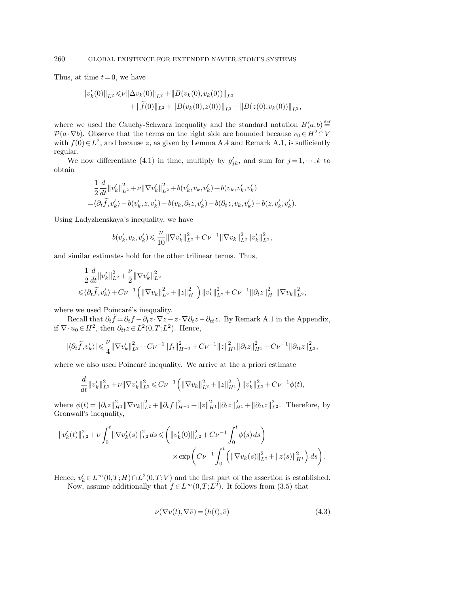Thus, at time  $t = 0$ , we have

$$
||v'_{k}(0)||_{L^{2}} \leq v ||\Delta v_{k}(0)||_{L^{2}} + ||B(v_{k}(0), v_{k}(0))||_{L^{2}} + ||\widetilde{f}(0)||_{L^{2}} + ||B(v_{k}(0), z(0))||_{L^{2}} + ||B(z(0), v_{k}(0))||_{L^{2}},
$$

where we used the Cauchy-Schwarz inequality and the standard notation  $B(a,b) \stackrel{\text{def}}{=}$  $P(a \cdot \nabla b)$ . Observe that the terms on the right side are bounded because  $v_0 \in H^2 \cap V$ with  $f(0) \in L^2$ , and because z, as given by Lemma A.4 and Remark A.1, is sufficiently regular.

We now differentiate (4.1) in time, multiply by  $g'_{jk}$ , and sum for  $j = 1, \dots, k$  to obtain

$$
\frac{1}{2} \frac{d}{dt} ||v'_k||_{L^2}^2 + \nu ||\nabla v'_k||_{L^2}^2 + b(v'_k, v_k, v'_k) + b(v_k, v'_k, v'_k) \n= \langle \partial_t \tilde{f}, v'_k \rangle - b(v'_k, z, v'_k) - b(v_k, \partial_t z, v'_k) - b(\partial_t z, v_k, v'_k) - b(z, v'_k, v'_k).
$$

Using Ladyzhenskaya's inequality, we have

$$
b(v'_k, v_k, v'_k) \leqslant \frac{\nu}{10} \big\| \nabla v'_k \big\|_{L^2}^2 + C \nu^{-1} \big\| \nabla v_k \big\|_{L^2}^2 \big\| v'_k \big\|_{L^2}^2,
$$

and similar estimates hold for the other trilinear terms. Thus,

$$
\begin{split} &\frac{1}{2}\frac{d}{dt}\|v_k'\|_{L^2}^2+\frac{\nu}{2}\|\nabla v_k'\|_{L^2}^2\\ \leqslant &\langle\partial_t\widetilde{f},v_k'\rangle+C\nu^{-1}\left(\|\nabla v_k\|_{L^2}^2+\|z\|_{H^1}^2\right)\|v_k'\|_{L^2}^2+C\nu^{-1}\|\partial_t z\|_{H^1}^2\|\nabla v_k\|_{L^2}^2, \end{split}
$$

where we used Poincaré's inequality.

Recall that  $\partial_t \tilde{f} = \partial_t f - \partial_t z \cdot \nabla z - z \cdot \nabla \partial_t z - \partial_t z$ . By Remark A.1 in the Appendix, if  $\nabla \cdot u_0 \in H^2$ , then  $\partial_{tt} z \in L^2(0,T;L^2)$ . Hence,

$$
|\langle \partial_t \widetilde{f}, v_k' \rangle| \leq \frac{\nu}{4} \|\nabla v_k'\|_{L^2}^2 + C\nu^{-1} \|f_t\|_{H^{-1}}^2 + C\nu^{-1} \|z\|_{H^1}^2 \|\partial_t z\|_{H^1}^2 + C\nu^{-1} \|\partial_{tt} z\|_{L^2}^2,
$$

where we also used Poincaré inequality. We arrive at the a priori estimate

$$
\frac{d}{dt}||v_k'||_{L^2}^2 + \nu ||\nabla v_k'||_{L^2}^2 \leq C\nu^{-1} \left( \|\nabla v_k\|_{L^2}^2 + \|z\|_{H^1}^2 \right) ||v_k'||_{L^2}^2 + C\nu^{-1}\phi(t),
$$

where  $\phi(t) = ||\partial_t z||_{H^1}^2 ||\nabla v_k||_{L^2}^2 + ||\partial_t f||_{H^{-1}}^2 + ||z||_{H^1}^2 ||\partial_t z||_{H^1}^2 + ||\partial_{tt} z||_{L^2}^2$ . Therefore, by Gronwall's inequality,

$$
\|v_k'(t)\|_{L^2}^2 + \nu \int_0^t \|\nabla v_k'(s)\|_{L^2}^2 ds \leq \left(\|v_k'(0)\|_{L^2}^2 + C\nu^{-1} \int_0^t \phi(s) ds\right) \times \exp\left(C\nu^{-1} \int_0^t \left(\|\nabla v_k(s)\|_{L^2}^2 + \|z(s)\|_{H^1}^2\right) ds\right).
$$

Hence,  $v'_k \in L^{\infty}(0,T;H) \cap L^2(0,T;V)$  and the first part of the assertion is established. Now, assume additionally that  $f \in L^{\infty}(0,T;L^2)$ . It follows from (3.5) that

$$
\nu(\nabla v(t), \nabla \bar{v}) = (h(t), \bar{v})
$$
\n(4.3)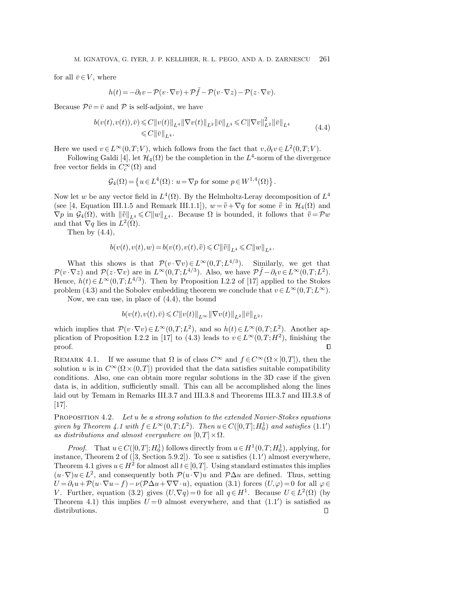for all  $\bar{v} \in V$ , where

$$
h(t) = -\partial_t v - \mathcal{P}(v \cdot \nabla v) + \mathcal{P}\tilde{f} - \mathcal{P}(v \cdot \nabla z) - \mathcal{P}(z \cdot \nabla v).
$$

Because  $\mathcal{P}\bar{v}=\bar{v}$  and  $\mathcal P$  is self-adjoint, we have

$$
b(v(t), v(t)), \bar{v}) \leq C ||v(t)||_{L^{4}} ||\nabla v(t)||_{L^{2}} ||\bar{v}||_{L^{4}} \leq C ||\nabla v||_{L^{2}}^{2} ||\bar{v}||_{L^{4}} \tag{4.4}
$$
  

$$
\leq C ||\bar{v}||_{L^{4}}.
$$

Here we used  $v \in L^{\infty}(0,T;V)$ , which follows from the fact that  $v, \partial_t v \in L^2(0,T;V)$ .

Following Galdi [4], let  $\mathcal{H}_4(\Omega)$  be the completion in the  $L^4$ -norm of the divergence free vector fields in  $C_c^{\infty}(\Omega)$  and

$$
\mathcal{G}_4(\Omega) = \left\{ u \in L^4(\Omega) : u = \nabla p \text{ for some } p \in W^{1,4}(\Omega) \right\}.
$$

Now let w be any vector field in  $L^4(\Omega)$ . By the Helmholtz-Leray decomposition of  $L^4$ (see [4, Equation III.1.5 and Remark III.1.1]),  $w = \bar{v} + \nabla q$  for some  $\bar{v}$  in  $\mathcal{H}_4(\Omega)$  and  $\nabla p$  in  $\mathcal{G}_4(\Omega)$ , with  $\|\bar{\bar{v}}\|_{L^4} \leq C \|w\|_{L^4}$ . Because  $\Omega$  is bounded, it follows that  $\bar{\bar{v}} = \mathcal{P}w$ and that  $\nabla q$  lies in  $L^2(\overline{\Omega})$ .

Then by  $(4.4)$ ,

$$
b(v(t), v(t), w) = b(v(t), v(t), \bar{v}) \leq C ||\bar{v}||_{L^4} \leq C ||w||_{L^4}.
$$

What this shows is that  $\mathcal{P}(v \cdot \nabla v) \in L^{\infty}(0,T;L^{4/3})$ . Similarly, we get that  $\mathcal{P}(v \cdot \nabla z)$  and  $\mathcal{P}(z \cdot \nabla v)$  are in  $L^{\infty}(0,T;L^{4/3})$ . Also, we have  $\mathcal{P}\tilde{f} - \partial_t v \in L^{\infty}(0,T;L^2)$ . Hence,  $h(t) \in L^{\infty}(0,T; L^{4/3})$ . Then by Proposition I.2.2 of [17] applied to the Stokes problem (4.3) and the Sobolev embedding theorem we conclude that  $v \in L^{\infty}(0,T;L^{\infty})$ .

Now, we can use, in place of (4.4), the bound

$$
b(v(t), v(t), \bar{v}) \leq C ||v(t)||_{L^{\infty}} ||\nabla v(t)||_{L^{2}} ||\bar{v}||_{L^{2}},
$$

which implies that  $\mathcal{P}(v \cdot \nabla v) \in L^{\infty}(0,T;L^2)$ , and so  $h(t) \in L^{\infty}(0,T;L^2)$ . Another application of Proposition I.2.2 in [17] to (4.3) leads to  $v \in L^{\infty}(0,T;H^2)$ , finishing the proof. П

REMARK 4.1. If we assume that  $\Omega$  is of class  $C^{\infty}$  and  $f \in C^{\infty}(\Omega \times [0,T])$ , then the solution u is in  $C^{\infty}(\Omega \times (0,T])$  provided that the data satisfies suitable compatibility conditions. Also, one can obtain more regular solutions in the 3D case if the given data is, in addition, sufficiently small. This can all be accomplished along the lines laid out by Temam in Remarks III.3.7 and III.3.8 and Theorems III.3.7 and III.3.8 of [17].

PROPOSITION 4.2. Let u be a strong solution to the extended Navier-Stokes equations given by Theorem 4.1 with  $f \in L^{\infty}(0,T;L^2)$ . Then  $u \in C([0,T];H_0^1)$  and satisfies  $(1.1')$ as distributions and almost everywhere on  $[0,T] \times \Omega$ .

*Proof.* That  $u \in C([0,T]; H_0^1)$  follows directly from  $u \in H^1(0,T; H_0^1)$ , applying, for instance, Theorem 2 of  $(3, Section 5.9.2]$ . To see u satisfies  $(1.1')$  almost everywhere, Theorem 4.1 gives  $u \in H^2$  for almost all  $t \in [0,T]$ . Using standard estimates this implies  $(u \cdot \nabla)u \in L^2$ , and consequently both  $\mathcal{P}(u \cdot \nabla)u$  and  $\mathcal{P}\Delta u$  are defined. Thus, setting  $U = \partial_t u + \mathcal{P}(u \cdot \nabla u - f) - \nu(\mathcal{P}\Delta u + \nabla \nabla \cdot u)$ , equation (3.1) forces  $(U, \varphi) = 0$  for all  $\varphi \in$ V. Further, equation (3.2) gives  $(U, \nabla q) = 0$  for all  $q \in H^1$ . Because  $U \in L^2(\Omega)$  (by Theorem 4.1) this implies  $U=0$  almost everywhere, and that  $(1.1')$  is satisfied as distributions. $\Box$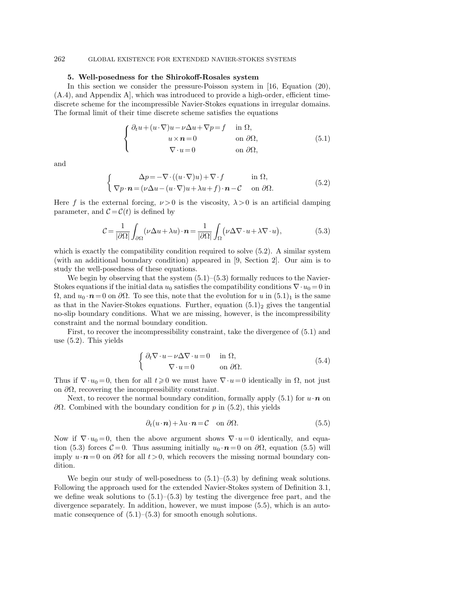### 262 GLOBAL EXISTENCE FOR EXTENDED NAVIER-STOKES SYSTEMS

## 5. Well-posedness for the Shirokoff-Rosales system

In this section we consider the pressure-Poisson system in [16, Equation (20), (A.4), and Appendix A], which was introduced to provide a high-order, efficient timediscrete scheme for the incompressible Navier-Stokes equations in irregular domains. The formal limit of their time discrete scheme satisfies the equations

$$
\begin{cases} \n\partial_t u + (u \cdot \nabla) u - \nu \Delta u + \nabla p = f & \text{in } \Omega, \\ \nu \times n = 0 & \text{on } \partial \Omega, \\ \nabla \cdot u = 0 & \text{on } \partial \Omega, \n\end{cases} \tag{5.1}
$$

and

$$
\begin{cases}\n\Delta p = -\nabla \cdot ((u \cdot \nabla)u) + \nabla \cdot f & \text{in } \Omega, \\
\nabla p \cdot \mathbf{n} = (\nu \Delta u - (u \cdot \nabla)u + \lambda u + f) \cdot \mathbf{n} - \mathcal{C} & \text{on } \partial \Omega.\n\end{cases}
$$
\n(5.2)

Here f is the external forcing,  $\nu > 0$  is the viscosity,  $\lambda > 0$  is an artificial damping parameter, and  $\mathcal{C} = \mathcal{C}(t)$  is defined by

$$
\mathcal{C} = \frac{1}{|\partial \Omega|} \int_{\partial \Omega} (\nu \Delta u + \lambda u) \cdot \mathbf{n} = \frac{1}{|\partial \Omega|} \int_{\Omega} (\nu \Delta \nabla \cdot u + \lambda \nabla \cdot u), \tag{5.3}
$$

which is exactly the compatibility condition required to solve  $(5.2)$ . A similar system (with an additional boundary condition) appeared in [9, Section 2]. Our aim is to study the well-posedness of these equations.

We begin by observing that the system  $(5.1)$ – $(5.3)$  formally reduces to the Navier-Stokes equations if the initial data  $u_0$  satisfies the compatibility conditions  $\nabla \cdot u_0 = 0$  in  $\Omega$ , and  $u_0 \cdot \mathbf{n} = 0$  on  $\partial \Omega$ . To see this, note that the evolution for u in  $(5.1)_1$  is the same as that in the Navier-Stokes equations. Further, equation  $(5.1)_2$  gives the tangential no-slip boundary conditions. What we are missing, however, is the incompressibility constraint and the normal boundary condition.

First, to recover the incompressibility constraint, take the divergence of (5.1) and use (5.2). This yields

$$
\begin{cases} \partial_t \nabla \cdot u - \nu \Delta \nabla \cdot u = 0 & \text{in } \Omega, \\ \nabla \cdot u = 0 & \text{on } \partial \Omega. \end{cases}
$$
 (5.4)

Thus if  $\nabla \cdot u_0 = 0$ , then for all  $t \geq 0$  we must have  $\nabla \cdot u = 0$  identically in  $\Omega$ , not just on  $\partial\Omega$ , recovering the incompressibility constraint.

Next, to recover the normal boundary condition, formally apply (5.1) for  $u \cdot \boldsymbol{n}$  on  $\partial Ω$ . Combined with the boundary condition for p in (5.2), this yields

$$
\partial_t(u \cdot \boldsymbol{n}) + \lambda u \cdot \boldsymbol{n} = \mathcal{C} \quad \text{on } \partial \Omega.
$$
 (5.5)

Now if  $\nabla \cdot u_0 = 0$ , then the above argument shows  $\nabla \cdot u = 0$  identically, and equation (5.3) forces  $C = 0$ . Thus assuming initially  $u_0 \cdot \mathbf{n} = 0$  on  $\partial \Omega$ , equation (5.5) will imply  $u \cdot \mathbf{n} = 0$  on  $\partial\Omega$  for all  $t > 0$ , which recovers the missing normal boundary condition.

We begin our study of well-posedness to  $(5.1)$ – $(5.3)$  by defining weak solutions. Following the approach used for the extended Navier-Stokes system of Definition 3.1, we define weak solutions to  $(5.1)$ – $(5.3)$  by testing the divergence free part, and the divergence separately. In addition, however, we must impose (5.5), which is an automatic consequence of  $(5.1)$ – $(5.3)$  for smooth enough solutions.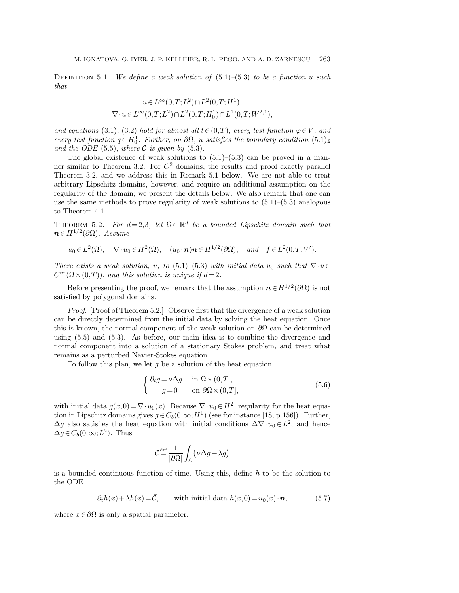DEFINITION 5.1. We define a weak solution of  $(5.1)$ – $(5.3)$  to be a function u such that

$$
u \in L^{\infty}(0,T;L^2) \cap L^2(0,T;H^1),
$$
  

$$
\nabla \cdot u \in L^{\infty}(0,T;L^2) \cap L^2(0,T;H_0^1) \cap L^1(0,T;W^{2,1}),
$$

and equations (3.1), (3.2) hold for almost all  $t \in (0,T)$ , every test function  $\varphi \in V$ , and every test function  $q \in H_0^1$ . Further, on  $\partial \Omega$ , u satisfies the boundary condition  $(5.1)_2$ and the ODE  $(5.5)$ , where C is given by  $(5.3)$ .

The global existence of weak solutions to  $(5.1)$ – $(5.3)$  can be proved in a manner similar to Theorem 3.2. For  $C<sup>2</sup>$  domains, the results and proof exactly parallel Theorem 3.2, and we address this in Remark 5.1 below. We are not able to treat arbitrary Lipschitz domains, however, and require an additional assumption on the regularity of the domain; we present the details below. We also remark that one can use the same methods to prove regularity of weak solutions to  $(5.1)$ – $(5.3)$  analogous to Theorem 4.1.

THEOREM 5.2. For  $d=2,3$ , let  $\Omega \subset \mathbb{R}^d$  be a bounded Lipschitz domain such that  $n \in H^{1/2}(\partial\Omega)$ . Assume

 $u_0 \in L^2(\Omega)$ ,  $\nabla \cdot u_0 \in H^2(\Omega)$ ,  $(u_0 \cdot \mathbf{n})\mathbf{n} \in H^{1/2}(\partial \Omega)$ , and  $f \in L^2(0,T;V').$ 

There exists a weak solution, u, to (5.1)–(5.3) with initial data u<sub>0</sub> such that  $\nabla \cdot u \in$  $C^{\infty}(\Omega \times (0,T))$ , and this solution is unique if  $d=2$ .

Before presenting the proof, we remark that the assumption  $n \in H^{1/2}(\partial\Omega)$  is not satisfied by polygonal domains.

Proof. [Proof of Theorem 5.2.] Observe first that the divergence of a weak solution can be directly determined from the initial data by solving the heat equation. Once this is known, the normal component of the weak solution on  $\partial\Omega$  can be determined using (5.5) and (5.3). As before, our main idea is to combine the divergence and normal component into a solution of a stationary Stokes problem, and treat what remains as a perturbed Navier-Stokes equation.

To follow this plan, we let  $g$  be a solution of the heat equation

$$
\begin{cases} \partial_t g = \nu \Delta g & \text{in } \Omega \times (0, T], \\ g = 0 & \text{on } \partial \Omega \times (0, T], \end{cases}
$$
\n(5.6)

with initial data  $g(x,0) = \nabla \cdot u_0(x)$ . Because  $\nabla \cdot u_0 \in H^2$ , regularity for the heat equation in Lipschitz domains gives  $g \in C_b(0,\infty;H^1)$  (see for instance [18, p.156]). Further,  $\Delta g$  also satisfies the heat equation with initial conditions  $\Delta \nabla \cdot u_0 \in L^2$ , and hence  $\Delta g \in C_b(0,\infty;L^2)$ . Thus

$$
\bar{\mathcal{C}} \stackrel{\text{def}}{=} \frac{1}{|\partial \Omega|} \int_{\Omega} \left( \nu \Delta g + \lambda g \right)
$$

is a bounded continuous function of time. Using this, define  $h$  to be the solution to the ODE

$$
\partial_t h(x) + \lambda h(x) = \bar{\mathcal{C}}, \qquad \text{with initial data } h(x,0) = u_0(x) \cdot \mathbf{n}, \tag{5.7}
$$

where  $x \in \partial\Omega$  is only a spatial parameter.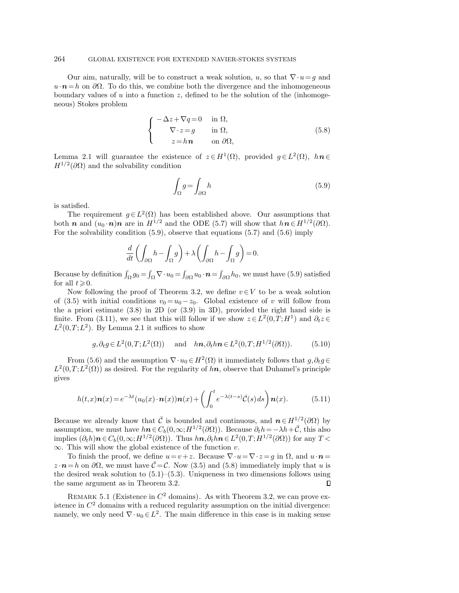Our aim, naturally, will be to construct a weak solution, u, so that  $\nabla \cdot u = g$  and  $u\cdot\mathbf{n}=h$  on  $\partial\Omega$ . To do this, we combine both the divergence and the inhomogeneous boundary values of  $u$  into a function  $z$ , defined to be the solution of the (inhomogeneous) Stokes problem

$$
\begin{cases}\n-\Delta z + \nabla q = 0 & \text{in } \Omega, \\
\nabla \cdot z = g & \text{in } \Omega, \\
z = h \mathbf{n} & \text{on } \partial \Omega,\n\end{cases}
$$
\n(5.8)

Lemma 2.1 will guarantee the existence of  $z \in H^1(\Omega)$ , provided  $g \in L^2(\Omega)$ ,  $h\mathbf{n} \in$  $H^{1/2}(\partial\Omega)$  and the solvability condition

$$
\int_{\Omega} g = \int_{\partial \Omega} h \tag{5.9}
$$

is satisfied.

The requirement  $g \in L^2(\Omega)$  has been established above. Our assumptions that both **n** and  $(u_0 \cdot \mathbf{n})\mathbf{n}$  are in  $H^{1/2}$  and the ODE (5.7) will show that  $h\mathbf{n} \in H^{1/2}(\partial\Omega)$ . For the solvability condition  $(5.9)$ , observe that equations  $(5.7)$  and  $(5.6)$  imply

$$
\frac{d}{dt}\left(\int_{\partial\Omega}h - \int_{\Omega}g\right) + \lambda\left(\int_{\partial\Omega}h - \int_{\Omega}g\right) = 0.
$$

Because by definition  $\int_{\Omega} g_0 = \int_{\Omega} \nabla \cdot u_0 = \int_{\partial \Omega} u_0 \cdot \mathbf{n} = \int_{\partial \Omega} h_0$ , we must have (5.9) satisfied for all  $t\geqslant0$ .

Now following the proof of Theorem 3.2, we define  $v \in V$  to be a weak solution of (3.5) with initial conditions  $v_0 = u_0 - z_0$ . Global existence of v will follow from the a priori estimate  $(3.8)$  in 2D (or  $(3.9)$  in 3D), provided the right hand side is finite. From (3.11), we see that this will follow if we show  $z \in L^2(0,T;H^1)$  and  $\partial_t z \in L^2(0,T;H^1)$  $L^2(0,T;L^2)$ . By Lemma 2.1 it suffices to show

$$
g, \partial_t g \in L^2(0,T;L^2(\Omega))
$$
 and  $h\mathbf{n}, \partial_t h\mathbf{n} \in L^2(0,T;H^{1/2}(\partial\Omega)).$  (5.10)

From (5.6) and the assumption  $\nabla \cdot u_0 \in H^2(\Omega)$  it immediately follows that  $g, \partial_t g \in$  $L^2(0,T;L^2(\Omega))$  as desired. For the regularity of  $h\mathbf{n}$ , observe that Duhamel's principle gives

$$
h(t,x)\mathbf{n}(x) = e^{-\lambda t}(u_0(x)\cdot \mathbf{n}(x))\mathbf{n}(x) + \left(\int_0^t e^{-\lambda(t-s)}\bar{\mathcal{C}}(s)ds\right)\mathbf{n}(x).
$$
 (5.11)

Because we already know that  $\overline{C}$  is bounded and continuous, and  $\mathbf{n} \in H^{1/2}(\partial\Omega)$  by assumption, we must have  $h\mathbf{n} \in C_b(0,\infty; H^{1/2}(\partial\Omega))$ . Because  $\partial_t h = -\lambda h + \bar{C}$ , this also implies  $(\partial_t h) \mathbf{n} \in C_b(0,\infty; H^{1/2}(\partial \Omega))$ . Thus  $h\mathbf{n}, \partial_t h\mathbf{n} \in L^2(0,T; H^{1/2}(\partial \Omega))$  for any  $T <$  $\infty$ . This will show the global existence of the function v.

To finish the proof, we define  $u=v+z$ . Because  $\nabla \cdot u=\nabla \cdot z=q$  in  $\Omega$ , and  $u \cdot \boldsymbol{n}=$  $z \cdot n = h$  on  $\partial \Omega$ , we must have  $\overline{C} = C$ . Now (3.5) and (5.8) immediately imply that u is the desired weak solution to  $(5.1)$ – $(5.3)$ . Uniqueness in two dimensions follows using the same argument as in Theorem 3.2.  $\Box$ 

REMARK 5.1 (Existence in  $C^2$  domains). As with Theorem 3.2, we can prove existence in  $C<sup>2</sup>$  domains with a reduced regularity assumption on the initial divergence: namely, we only need  $\nabla \cdot u_0 \in L^2$ . The main difference in this case is in making sense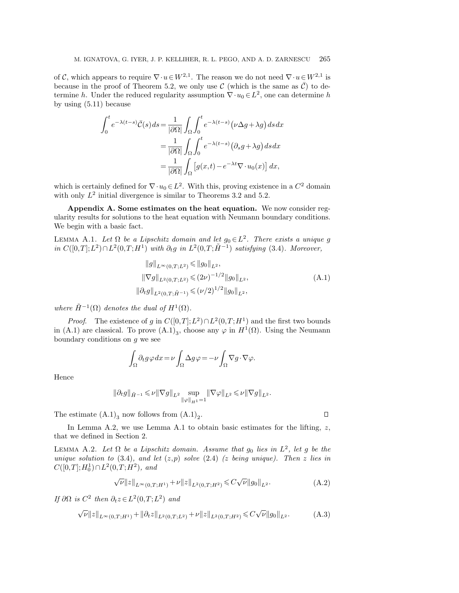of C, which appears to require  $\nabla \cdot u \in W^{2,1}$ . The reason we do not need  $\nabla \cdot u \in W^{2,1}$  is because in the proof of Theorem 5.2, we only use  $\mathcal C$  (which is the same as  $\overline{\mathcal C}$ ) to determine h. Under the reduced regularity assumption  $\nabla \cdot u_0 \in L^2$ , one can determine h by using (5.11) because

$$
\int_0^t e^{-\lambda(t-s)} \bar{\mathcal{C}}(s) ds = \frac{1}{|\partial \Omega|} \int_{\Omega} \int_0^t e^{-\lambda(t-s)} (\nu \Delta g + \lambda g) ds dx
$$
  

$$
= \frac{1}{|\partial \Omega|} \int_{\Omega} \int_0^t e^{-\lambda(t-s)} (\partial_s g + \lambda g) ds dx
$$
  

$$
= \frac{1}{|\partial \Omega|} \int_{\Omega} [g(x,t) - e^{-\lambda t} \nabla \cdot u_0(x)] dx,
$$

which is certainly defined for  $\nabla \cdot u_0 \in L^2$ . With this, proving existence in a  $C^2$  domain with only  $L^2$  initial divergence is similar to Theorems 3.2 and 5.2.

Appendix A. Some estimates on the heat equation. We now consider regularity results for solutions to the heat equation with Neumann boundary conditions. We begin with a basic fact.

LEMMA A.1. Let  $\Omega$  be a Lipschitz domain and let  $g_0 \in L^2$ . There exists a unique g in  $C([0,T];L^2) \cap L^2(0,T;H^1)$  with  $\partial_t g$  in  $L^2(0,T;\tilde{H}^{-1})$  satisfying (3.4). Moreover,

$$
||g||_{L^{\infty}(0,T;L^{2})} \le ||g_{0}||_{L^{2}},
$$
  
\n
$$
||\nabla g||_{L^{2}(0,T;L^{2})} \le (2\nu)^{-1/2} ||g_{0}||_{L^{2}},
$$
  
\n
$$
||\partial_{t}g||_{L^{2}(0,T;\tilde{H}^{-1})} \le (\nu/2)^{1/2} ||g_{0}||_{L^{2}},
$$
\n(A.1)

where  $\tilde{H}^{-1}(\Omega)$  denotes the dual of  $H^1(\Omega)$ .

*Proof.* The existence of g in  $C([0,T];L^2) \cap L^2(0,T;H^1)$  and the first two bounds in (A.1) are classical. To prove  $(A.1)_3$ , choose any  $\varphi$  in  $H^1(\Omega)$ . Using the Neumann boundary conditions on  $q$  we see

$$
\int_{\Omega} \partial_t g \varphi dx = \nu \int_{\Omega} \Delta g \varphi = -\nu \int_{\Omega} \nabla g \cdot \nabla \varphi.
$$

Hence

$$
\|\partial_t g\|_{\tilde H^{-1}} \!\leqslant\! \nu \|\nabla g\|_{L^2}\sup_{\|\varphi\|_{H^1}=1}\!\|\nabla\varphi\|_{L^2} \!\leqslant\! \nu \|\nabla g\|_{L^2}.
$$

The estimate  $(A.1)<sub>3</sub>$  now follows from  $(A.1)<sub>2</sub>$ .

 $\Box$ 

In Lemma A.2, we use Lemma A.1 to obtain basic estimates for the lifting,  $z$ , that we defined in Section 2.

LEMMA A.2. Let  $\Omega$  be a Lipschitz domain. Assume that  $g_0$  lies in  $L^2$ , let g be the unique solution to (3.4), and let  $(z,p)$  solve (2.4) (z being unique). Then z lies in  $C([0,T];H_0^1) \cap L^2(0,T;H^2)$ , and

$$
\sqrt{\nu} \|z\|_{L^{\infty}(0,T;H^1)} + \nu \|z\|_{L^2(0,T;H^2)} \leqslant C\sqrt{\nu} \|g_0\|_{L^2}.
$$
\n(A.2)

If  $\partial \Omega$  is  $C^2$  then  $\partial_t z \in L^2(0,T;L^2)$  and

$$
\sqrt{\nu}||z||_{L^{\infty}(0,T;H^1)} + ||\partial_t z||_{L^2(0,T;L^2)} + \nu ||z||_{L^2(0,T;H^2)} \leqslant C\sqrt{\nu}||g_0||_{L^2}.
$$
 (A.3)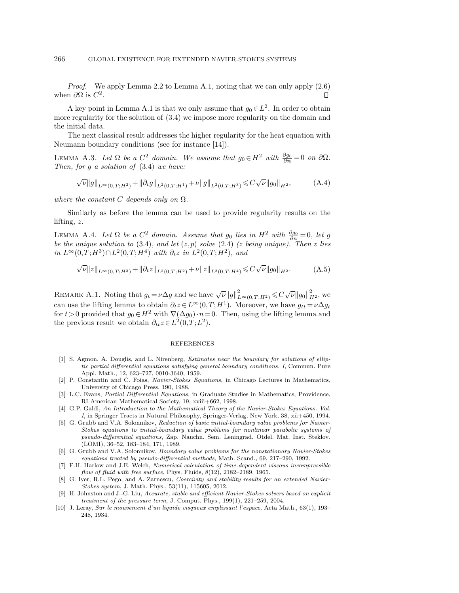Proof. We apply Lemma 2.2 to Lemma A.1, noting that we can only apply (2.6) when  $\partial\Omega$  is  $C^2$ .

A key point in Lemma A.1 is that we only assume that  $g_0 \in L^2$ . In order to obtain more regularity for the solution of (3.4) we impose more regularity on the domain and the initial data.

The next classical result addresses the higher regularity for the heat equation with Neumann boundary conditions (see for instance [14]).

LEMMA A.3. Let  $\Omega$  be a  $C^2$  domain. We assume that  $g_0 \in H^2$  with  $\frac{\partial g_0}{\partial n} = 0$  on  $\partial \Omega$ . Then, for  $g$  a solution of  $(3.4)$  we have:

$$
\sqrt{\nu}||g||_{L^{\infty}(0,T;H^2)} + ||\partial_t g||_{L^2(0,T;H^1)} + \nu ||g||_{L^2(0,T;H^3)} \leq C\sqrt{\nu}||g_0||_{H^2},
$$
\n(A.4)

where the constant C depends only on  $\Omega$ .

Similarly as before the lemma can be used to provide regularity results on the lifting, z.

LEMMA A.4. Let  $\Omega$  be a  $C^2$  domain. Assume that  $g_0$  lies in  $H^2$  with  $\frac{\partial g_0}{\partial n} = 0$ , let g be the unique solution to (3.4), and let  $(z,p)$  solve (2.4) (z being unique). Then z lies in  $L^{\infty}(0,T;H^3) \cap L^2(0,T;H^4)$  with  $\partial_t z$  in  $L^2(0,T;H^2)$ , and

$$
\sqrt{\nu} \|z\|_{L^{\infty}(0,T;H^3)} + \|\partial_t z\|_{L^2(0,T;H^2)} + \nu \|z\|_{L^2(0,T;H^4)} \leqslant C\sqrt{\nu} \|g_0\|_{H^2}.
$$
 (A.5)

REMARK A.1. Noting that  $g_t = \nu \Delta g$  and we have  $\sqrt{\nu} ||g||^2_{L^{\infty}(0,T;H^2)} \leqslant C \sqrt{\nu} ||g_0||^2_{H^2}$ , we can use the lifting lemma to obtain  $\partial_t z \in L^\infty(0,T;H^1)$ . Moreover, we have  $g_{tt} = \nu \Delta g_t$ for  $t > 0$  provided that  $g_0 \in H^2$  with  $\nabla(\Delta g_0) \cdot n = 0$ . Then, using the lifting lemma and the previous result we obtain  $\partial_{tt} z \in L^2(0,T;L^2)$ .

#### REFERENCES

- [1] S. Agmon, A. Douglis, and L. Nirenberg, Estimates near the boundary for solutions of elliptic partial differential equations satisfying general boundary conditions. I, Commun. Pure Appl. Math., 12, 623–727, 0010-3640, 1959.
- [2] P. Constantin and C. Foias, Navier-Stokes Equations, in Chicago Lectures in Mathematics, University of Chicago Press, 190, 1988.
- [3] L.C. Evans, Partial Differential Equations, in Graduate Studies in Mathematics, Providence, RI American Mathematical Society, 19, xviii+662, 1998.
- [4] G.P. Galdi, An Introduction to the Mathematical Theory of the Navier-Stokes Equations. Vol. I, in Springer Tracts in Natural Philosophy, Springer-Verlag, New York, 38, xii+450, 1994.
- [5] G. Grubb and V.A. Solonnikov, Reduction of basic initial-boundary value problems for Navier-Stokes equations to initial-boundary value problems for nonlinear parabolic systems of pseudo-differential equations, Zap. Nauchn. Sem. Leningrad. Otdel. Mat. Inst. Steklov. (LOMI), 36–52, 183–184, 171, 1989.
- [6] G. Grubb and V.A. Solonnikov, Boundary value problems for the nonstationary Navier-Stokes equations treated by pseudo-differential methods, Math. Scand., 69, 217–290, 1992.
- [7] F.H. Harlow and J.E. Welch, Numerical calculation of time-dependent viscous incompressible flow of fluid with free surface, Phys. Fluids, 8(12), 2182–2189, 1965.
- [8] G. Iyer, R.L. Pego, and A. Zarnescu, Coercivity and stability results for an extended Navier-Stokes system, J. Math. Phys., 53(11), 115605, 2012.
- [9] H. Johnston and J.-G. Liu, Accurate, stable and efficient Navier-Stokes solvers based on explicit treatment of the pressure term, J. Comput. Phys., 199(1), 221–259, 2004.
- [10] J. Leray, Sur le mouvement d'un liquide visqueux emplissant l'espace, Acta Math., 63(1), 193– 248, 1934.